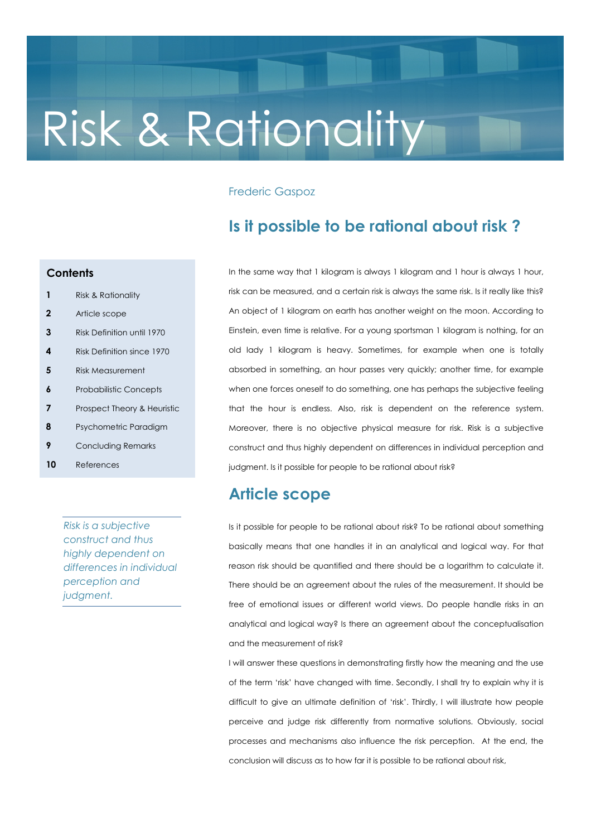# Risk & Rationality

## Frederic Gaspoz

# Is it possible to be rational about risk ?

### **Contents**

- 1 Risk & Rationality
- 2 Article scope
- 3 Risk Definition until 1970
- 4 Risk Definition since 1970
- 5 Risk Measurement
- **6** Probabilistic Concepts
- **7** Prospect Theory & Heuristic
- 8 Psychometric Paradigm
- **9** Concluding Remarks
- 10 References

Risk is a subjective construct and thus highly dependent on differences in individual perception and judgment.

In the same way that 1 kilogram is always 1 kilogram and 1 hour is always 1 hour, risk can be measured, and a certain risk is always the same risk. Is it really like this? An object of 1 kilogram on earth has another weight on the moon. According to Einstein, even time is relative. For a young sportsman 1 kilogram is nothing, for an old lady 1 kilogram is heavy. Sometimes, for example when one is totally absorbed in something, an hour passes very quickly; another time, for example when one forces oneself to do something, one has perhaps the subjective feeling that the hour is endless. Also, risk is dependent on the reference system. Moreover, there is no objective physical measure for risk. Risk is a subjective construct and thus highly dependent on differences in individual perception and judgment. Is it possible for people to be rational about risk?

## Article scope

Is it possible for people to be rational about risk? To be rational about something basically means that one handles it in an analytical and logical way. For that reason risk should be quantified and there should be a logarithm to calculate it. There should be an agreement about the rules of the measurement. It should be free of emotional issues or different world views. Do people handle risks in an analytical and logical way? Is there an agreement about the conceptualisation and the measurement of risk?

I will answer these questions in demonstrating firstly how the meaning and the use of the term 'risk' have changed with time. Secondly, I shall try to explain why it is difficult to give an ultimate definition of 'risk'. Thirdly, I will illustrate how people perceive and judge risk differently from normative solutions. Obviously, social processes and mechanisms also influence the risk perception. At the end, the conclusion will discuss as to how far it is possible to be rational about risk,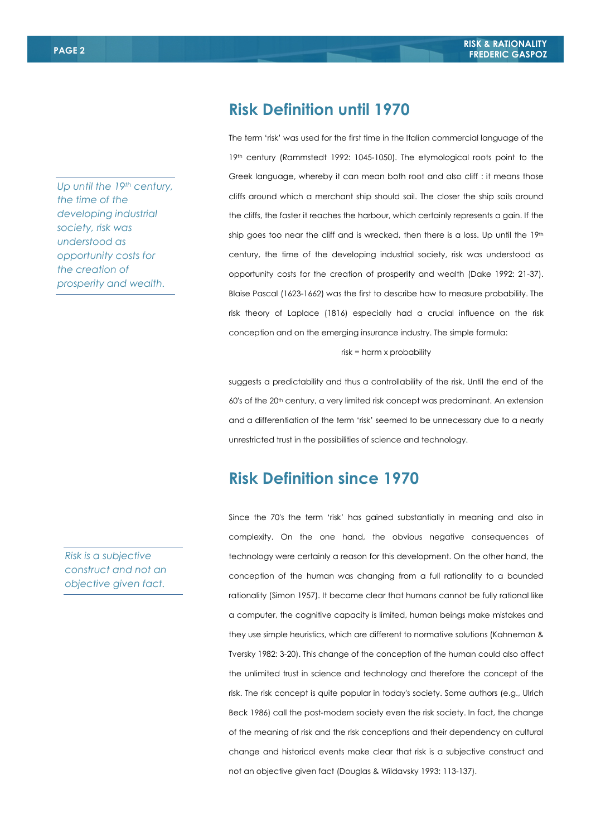Up until the 19th century, the time of the developing industrial society, risk was understood as opportunity costs for the creation of prosperity and wealth.

Risk is a subjective construct and not an objective given fact.

# Risk Definition until 1970

The term 'risk' was used for the first time in the Italian commercial language of the 19th century (Rammstedt 1992: 1045-1050). The etymological roots point to the Greek language, whereby it can mean both root and also cliff : it means those cliffs around which a merchant ship should sail. The closer the ship sails around the cliffs, the faster it reaches the harbour, which certainly represents a gain. If the ship goes too near the cliff and is wrecked, then there is a loss. Up until the  $19<sup>th</sup>$ century, the time of the developing industrial society, risk was understood as opportunity costs for the creation of prosperity and wealth (Dake 1992: 21-37). Blaise Pascal (1623-1662) was the first to describe how to measure probability. The risk theory of Laplace (1816) especially had a crucial influence on the risk conception and on the emerging insurance industry. The simple formula:

risk = harm x probability

suggests a predictability and thus a controllability of the risk. Until the end of the 60's of the 20<sup>th</sup> century, a very limited risk concept was predominant. An extension and a differentiation of the term 'risk' seemed to be unnecessary due to a nearly unrestricted trust in the possibilities of science and technology.

# Risk Definition since 1970

Since the 70's the term 'risk' has gained substantially in meaning and also in complexity. On the one hand, the obvious negative consequences of technology were certainly a reason for this development. On the other hand, the conception of the human was changing from a full rationality to a bounded rationality (Simon 1957). It became clear that humans cannot be fully rational like a computer, the cognitive capacity is limited, human beings make mistakes and they use simple heuristics, which are different to normative solutions (Kahneman & Tversky 1982: 3-20). This change of the conception of the human could also affect the unlimited trust in science and technology and therefore the concept of the risk. The risk concept is quite popular in today's society. Some authors (e.g., Ulrich Beck 1986) call the post-modern society even the risk society. In fact, the change of the meaning of risk and the risk conceptions and their dependency on cultural change and historical events make clear that risk is a subjective construct and not an objective given fact (Douglas & Wildavsky 1993: 113-137).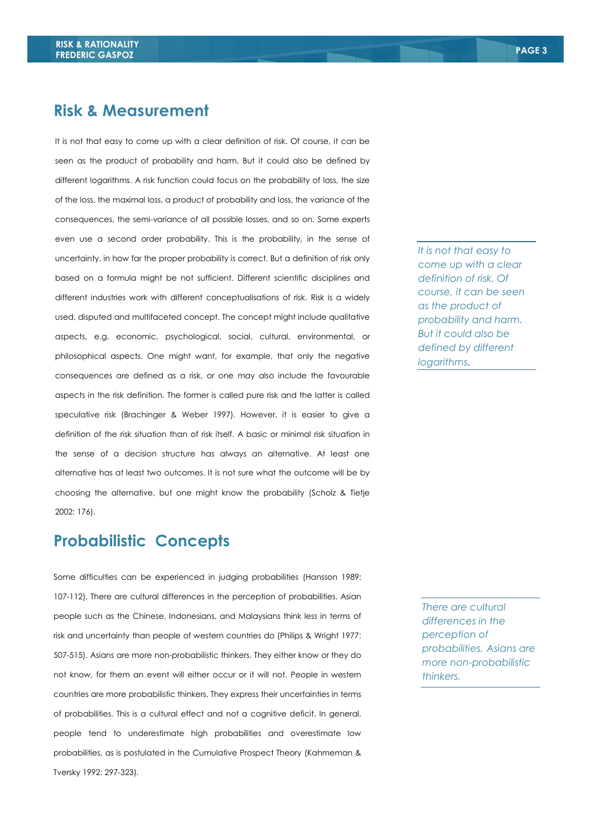## Risk & Measurement

It is not that easy to come up with a clear definition of risk. Of course, it can be seen as the product of probability and harm. But it could also be defined by different logarithms. A risk function could focus on the probability of loss, the size of the loss, the maximal loss, a product of probability and loss, the variance of the consequences, the semi-variance of all possible losses, and so on. Some experts even use a second order probability. This is the probability, in the sense of uncertainty, in how far the proper probability is correct. But a definition of risk only based on a formula might be not sufficient. Different scientific disciplines and different industries work with different conceptualisations of risk. Risk is a widely used, disputed and multifaceted concept. The concept might include qualitative aspects, e.g. economic, psychological, social, cultural, environmental, or philosophical aspects. One might want, for example, that only the negative consequences are defined as a risk, or one may also include the favourable aspects in the risk definition. The former is called pure risk and the latter is called speculative risk (Brachinger & Weber 1997). However, it is easier to give a definition of the risk situation than of risk itself. A basic or minimal risk situation in the sense of a decision structure has always an alternative. At least one alternative has at least two outcomes. It is not sure what the outcome will be by choosing the alternative, but one might know the probability (Scholz & Tietje 2002: 176).

# Probabilistic Concepts

Some difficulties can be experienced in judging probabilities (Hansson 1989: 107-112). There are cultural differences in the perception of probabilities. Asian people such as the Chinese, Indonesians, and Malaysians think less in terms of risk and uncertainty than people of western countries do (Philips & Wright 1977: 507-515). Asians are more non-probabilistic thinkers. They either know or they do not know, for them an event will either occur or it will not. People in western countries are more probabilistic thinkers. They express their uncertainties in terms of probabilities. This is a cultural effect and not a cognitive deficit. In general, people tend to underestimate high probabilities and overestimate low probabilities, as is postulated in the Cumulative Prospect Theory (Kahmeman & Tversky 1992: 297-323).

It is not that easy to come up with a clear definition of risk. Of course, it can be seen as the product of probability and harm. But it could also be defined by different logarithms.

There are cultural differences in the perception of probabilities. Asians are more non-probabilistic thinkers.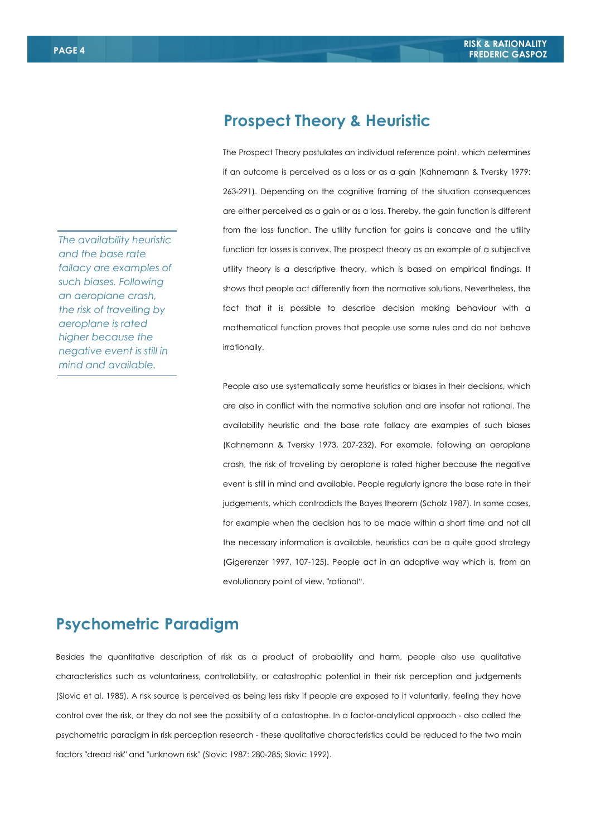The availability heuristic and the base rate fallacy are examples of such biases. Following an aeroplane crash, the risk of travelling by aeroplane is rated higher because the negative event is still in mind and available.

# Prospect Theory & Heuristic

The Prospect Theory postulates an individual reference point, which determines if an outcome is perceived as a loss or as a gain (Kahnemann & Tversky 1979: 263-291). Depending on the cognitive framing of the situation consequences are either perceived as a gain or as a loss. Thereby, the gain function is different from the loss function. The utility function for gains is concave and the utility function for losses is convex. The prospect theory as an example of a subjective utility theory is a descriptive theory, which is based on empirical findings. It shows that people act differently from the normative solutions. Nevertheless, the fact that it is possible to describe decision making behaviour with a mathematical function proves that people use some rules and do not behave irrationally.

People also use systematically some heuristics or biases in their decisions, which are also in conflict with the normative solution and are insofar not rational. The availability heuristic and the base rate fallacy are examples of such biases (Kahnemann & Tversky 1973, 207-232). For example, following an aeroplane crash, the risk of travelling by aeroplane is rated higher because the negative event is still in mind and available. People regularly ignore the base rate in their judgements, which contradicts the Bayes theorem (Scholz 1987). In some cases, for example when the decision has to be made within a short time and not all the necessary information is available, heuristics can be a quite good strategy (Gigerenzer 1997, 107-125). People act in an adaptive way which is, from an evolutionary point of view, "rational".

# Psychometric Paradigm

Besides the quantitative description of risk as a product of probability and harm, people also use qualitative characteristics such as voluntariness, controllability, or catastrophic potential in their risk perception and judgements (Slovic et al. 1985). A risk source is perceived as being less risky if people are exposed to it voluntarily, feeling they have control over the risk, or they do not see the possibility of a catastrophe. In a factor-analytical approach - also called the psychometric paradigm in risk perception research - these qualitative characteristics could be reduced to the two main factors "dread risk" and "unknown risk" (Slovic 1987: 280-285; Slovic 1992).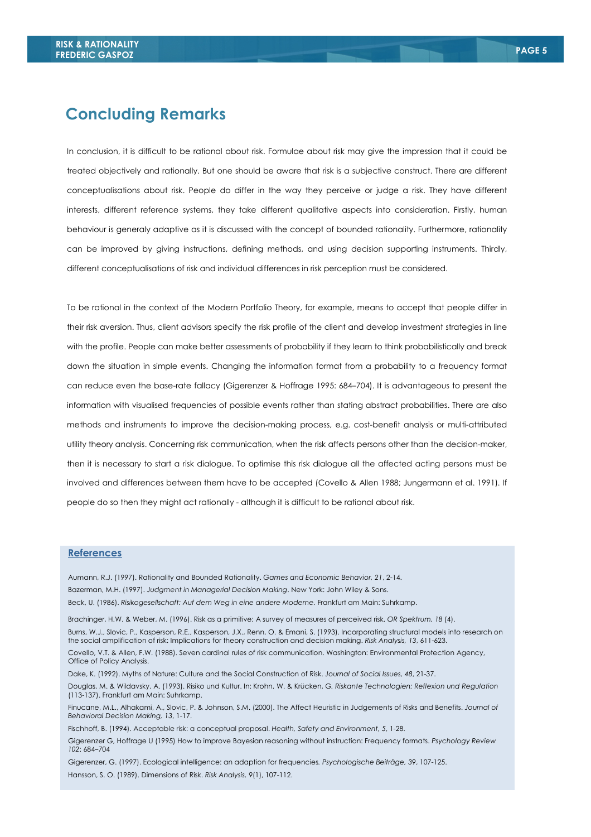## Concluding Remarks

 different conceptualisations of risk and individual differences in risk perception must be considered. In conclusion, it is difficult to be rational about risk. Formulae about risk may give the impression that it could be treated objectively and rationally. But one should be aware that risk is a subjective construct. There are different conceptualisations about risk. People do differ in the way they perceive or judge a risk. They have different interests, different reference systems, they take different qualitative aspects into consideration. Firstly, human behaviour is generaly adaptive as it is discussed with the concept of bounded rationality. Furthermore, rationality can be improved by giving instructions, defining methods, and using decision supporting instruments. Thirdly,

To be rational in the context of the Modern Portfolio Theory, for example, means to accept that people differ in their risk aversion. Thus, client advisors specify the risk profile of the client and develop investment strategies in line with the profile. People can make better assessments of probability if they learn to think probabilistically and break down the situation in simple events. Changing the information format from a probability to a frequency format can reduce even the base-rate fallacy (Gigerenzer & Hoffrage 1995: 684–704). It is advantageous to present the information with visualised frequencies of possible events rather than stating abstract probabilities. There are also methods and instruments to improve the decision-making process, e.g. cost-benefit analysis or multi-attributed utility theory analysis. Concerning risk communication, when the risk affects persons other than the decision-maker, then it is necessary to start a risk dialogue. To optimise this risk dialogue all the affected acting persons must be involved and differences between them have to be accepted (Covello & Allen 1988; Jungermann et al. 1991). If people do so then they might act rationally - although it is difficult to be rational about risk.

#### References

Aumann, R.J. (1997). Rationality and Bounded Rationality. Games and Economic Behavior, 21, 2-14. Bazerman, M.H. (1997). Judgment in Managerial Decision Making. New York: John Wiley & Sons.

Beck, U. (1986). Risikogesellschaft: Auf dem Weg in eine andere Moderne. Frankfurt am Main: Suhrkamp.

Brachinger, H.W. & Weber, M. (1996). Risk as a primitive: A survey of measures of perceived risk. OR Spektrum, 18 (4).

Burns, W.J., Slovic, P., Kasperson, R.E., Kasperson, J.X., Renn, O. & Emani, S. (1993). Incorporating structural models into research on the social amplification of risk: Implications for theory construction and decision making. Risk Analysis, 13, 611-623.

Covello, V.T. & Allen, F.W. (1988). Seven cardinal rules of risk communication. Washington: Environmental Protection Agency, Office of Policy Analysis.

Dake, K. (1992). Myths of Nature: Culture and the Social Construction of Risk. Journal of Social Issues, 48, 21-37.

Douglas, M. & Wildavsky, A. (1993). Risiko und Kultur. In: Krohn, W. & Krücken, G. Riskante Technologien: Reflexion und Regulation (113-137). Frankfurt am Main: Suhrkamp.

Finucane, M.L., Alhakami, A., Slovic, P. & Johnson, S.M. (2000). The Affect Heuristic in Judgements of Risks and Benefits. Journal of Behavioral Decision Making, 13, 1-17.

Fischhoff, B. (1994). Acceptable risk: a conceptual proposal. Health, Safety and Environment, 5, 1-28.

Gigerenzer G, Hoffrage U (1995) How to improve Bayesian reasoning without instruction: Frequency formats. Psychology Review 102: 684–704

Gigerenzer, G. (1997). Ecological intelligence: an adaption for frequencies. Psychologische Beiträge, 39, 107-125. Hansson, S. O. (1989). Dimensions of Risk. Risk Analysis, 9(1), 107-112.